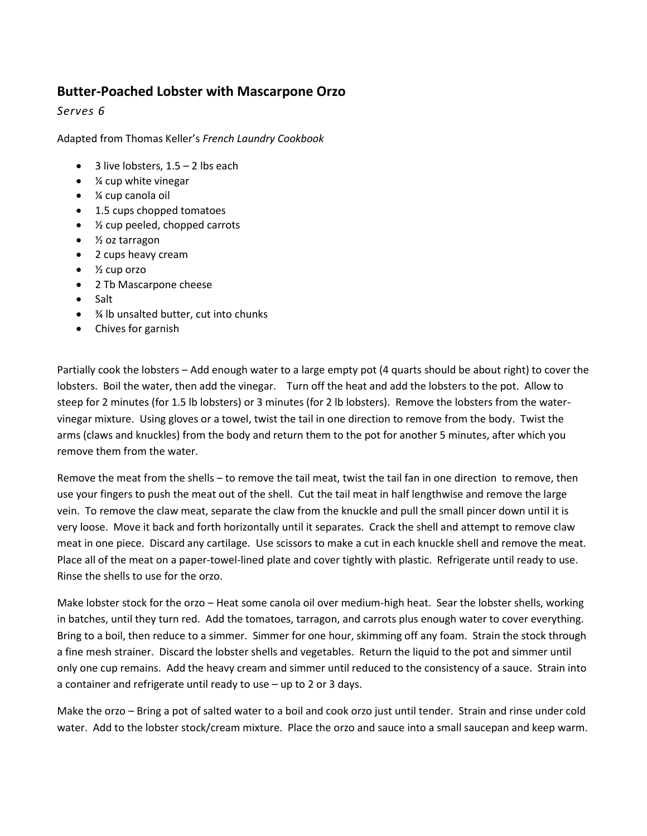## **Butter-Poached Lobster with Mascarpone Orzo**

*Serves 6*

Adapted from Thomas Keller's *French Laundry Cookbook*

- $\bullet$  3 live lobsters, 1.5 2 lbs each
- $\bullet$  % cup white vinegar
- ¼ cup canola oil
- 1.5 cups chopped tomatoes
- ½ cup peeled, chopped carrots
- ½ oz tarragon
- 2 cups heavy cream
- $\bullet$  % cup orzo
- 2 Tb Mascarpone cheese
- Salt
- $\frac{3}{4}$  lb unsalted butter, cut into chunks
- Chives for garnish

Partially cook the lobsters – Add enough water to a large empty pot (4 quarts should be about right) to cover the lobsters. Boil the water, then add the vinegar. Turn off the heat and add the lobsters to the pot. Allow to steep for 2 minutes (for 1.5 lb lobsters) or 3 minutes (for 2 lb lobsters). Remove the lobsters from the watervinegar mixture. Using gloves or a towel, twist the tail in one direction to remove from the body. Twist the arms (claws and knuckles) from the body and return them to the pot for another 5 minutes, after which you remove them from the water.

Remove the meat from the shells – to remove the tail meat, twist the tail fan in one direction to remove, then use your fingers to push the meat out of the shell. Cut the tail meat in half lengthwise and remove the large vein. To remove the claw meat, separate the claw from the knuckle and pull the small pincer down until it is very loose. Move it back and forth horizontally until it separates. Crack the shell and attempt to remove claw meat in one piece. Discard any cartilage. Use scissors to make a cut in each knuckle shell and remove the meat. Place all of the meat on a paper-towel-lined plate and cover tightly with plastic. Refrigerate until ready to use. Rinse the shells to use for the orzo.

Make lobster stock for the orzo – Heat some canola oil over medium-high heat. Sear the lobster shells, working in batches, until they turn red. Add the tomatoes, tarragon, and carrots plus enough water to cover everything. Bring to a boil, then reduce to a simmer. Simmer for one hour, skimming off any foam. Strain the stock through a fine mesh strainer. Discard the lobster shells and vegetables. Return the liquid to the pot and simmer until only one cup remains. Add the heavy cream and simmer until reduced to the consistency of a sauce. Strain into a container and refrigerate until ready to use – up to 2 or 3 days.

Make the orzo – Bring a pot of salted water to a boil and cook orzo just until tender. Strain and rinse under cold water. Add to the lobster stock/cream mixture. Place the orzo and sauce into a small saucepan and keep warm.